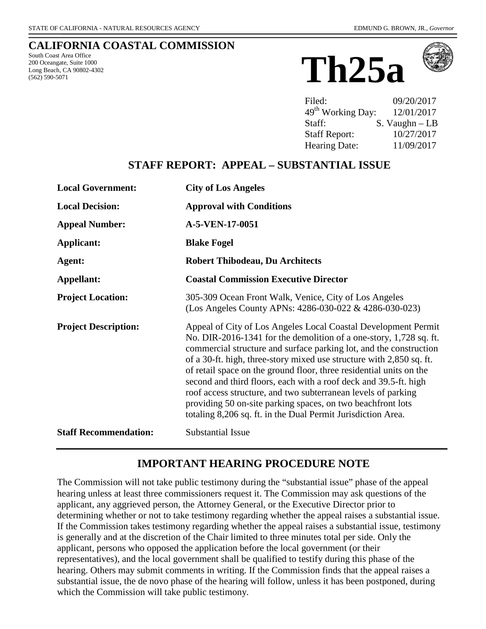#### **CALIFORNIA COASTAL COMMISSION**

South Coast Area Office 200 Oceangate, Suite 1000 Long Beach, CA 90802-4302 (562) 590-5071





| Filed:                        | 09/20/2017        |
|-------------------------------|-------------------|
| 49 <sup>th</sup> Working Day: | 12/01/2017        |
| Staff:                        | $S.$ Vaughn $-LB$ |
| <b>Staff Report:</b>          | 10/27/2017        |
| <b>Hearing Date:</b>          | 11/09/2017        |

## **STAFF REPORT: APPEAL – SUBSTANTIAL ISSUE**

| <b>Local Government:</b>     | <b>City of Los Angeles</b>                                                                                                                                                                                                                                                                                                                                                                                                                                                                                                                                                                                                    |
|------------------------------|-------------------------------------------------------------------------------------------------------------------------------------------------------------------------------------------------------------------------------------------------------------------------------------------------------------------------------------------------------------------------------------------------------------------------------------------------------------------------------------------------------------------------------------------------------------------------------------------------------------------------------|
| <b>Local Decision:</b>       | <b>Approval with Conditions</b>                                                                                                                                                                                                                                                                                                                                                                                                                                                                                                                                                                                               |
| <b>Appeal Number:</b>        | A-5-VEN-17-0051                                                                                                                                                                                                                                                                                                                                                                                                                                                                                                                                                                                                               |
| <b>Applicant:</b>            | <b>Blake Fogel</b>                                                                                                                                                                                                                                                                                                                                                                                                                                                                                                                                                                                                            |
| Agent:                       | <b>Robert Thibodeau, Du Architects</b>                                                                                                                                                                                                                                                                                                                                                                                                                                                                                                                                                                                        |
| Appellant:                   | <b>Coastal Commission Executive Director</b>                                                                                                                                                                                                                                                                                                                                                                                                                                                                                                                                                                                  |
| <b>Project Location:</b>     | 305-309 Ocean Front Walk, Venice, City of Los Angeles<br>(Los Angeles County APNs: 4286-030-022 & 4286-030-023)                                                                                                                                                                                                                                                                                                                                                                                                                                                                                                               |
| <b>Project Description:</b>  | Appeal of City of Los Angeles Local Coastal Development Permit<br>No. DIR-2016-1341 for the demolition of a one-story, 1,728 sq. ft.<br>commercial structure and surface parking lot, and the construction<br>of a 30-ft. high, three-story mixed use structure with 2,850 sq. ft.<br>of retail space on the ground floor, three residential units on the<br>second and third floors, each with a roof deck and 39.5-ft. high<br>roof access structure, and two subterranean levels of parking<br>providing 50 on-site parking spaces, on two beachfront lots<br>totaling 8,206 sq. ft. in the Dual Permit Jurisdiction Area. |
| <b>Staff Recommendation:</b> | <b>Substantial Issue</b>                                                                                                                                                                                                                                                                                                                                                                                                                                                                                                                                                                                                      |

## **IMPORTANT HEARING PROCEDURE NOTE**

The Commission will not take public testimony during the "substantial issue" phase of the appeal hearing unless at least three commissioners request it. The Commission may ask questions of the applicant, any aggrieved person, the Attorney General, or the Executive Director prior to determining whether or not to take testimony regarding whether the appeal raises a substantial issue. If the Commission takes testimony regarding whether the appeal raises a substantial issue, testimony is generally and at the discretion of the Chair limited to three minutes total per side. Only the applicant, persons who opposed the application before the local government (or their representatives), and the local government shall be qualified to testify during this phase of the hearing. Others may submit comments in writing. If the Commission finds that the appeal raises a substantial issue, the de novo phase of the hearing will follow, unless it has been postponed, during which the Commission will take public testimony.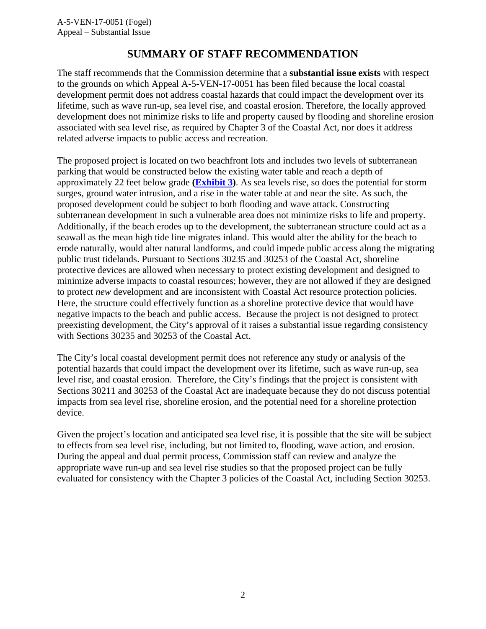# **SUMMARY OF STAFF RECOMMENDATION**

The staff recommends that the Commission determine that a **substantial issue exists** with respect to the grounds on which Appeal A-5-VEN-17-0051 has been filed because the local coastal development permit does not address coastal hazards that could impact the development over its lifetime, such as wave run-up, sea level rise, and coastal erosion. Therefore, the locally approved development does not minimize risks to life and property caused by flooding and shoreline erosion associated with sea level rise, as required by Chapter 3 of the Coastal Act, nor does it address related adverse impacts to public access and recreation.

The proposed project is located on two beachfront lots and includes two levels of subterranean parking that would be constructed below the existing water table and reach a depth of approximately 22 feet below grade **[\(Exhibit 3\)](https://documents.coastal.ca.gov/reports/2017/11/Th25a/Th25a-11-2017-exhibits.pdf)**. As sea levels rise, so does the potential for storm surges, ground water intrusion, and a rise in the water table at and near the site. As such, the proposed development could be subject to both flooding and wave attack. Constructing subterranean development in such a vulnerable area does not minimize risks to life and property. Additionally, if the beach erodes up to the development, the subterranean structure could act as a seawall as the mean high tide line migrates inland. This would alter the ability for the beach to erode naturally, would alter natural landforms, and could impede public access along the migrating public trust tidelands. Pursuant to Sections 30235 and 30253 of the Coastal Act, shoreline protective devices are allowed when necessary to protect existing development and designed to minimize adverse impacts to coastal resources; however, they are not allowed if they are designed to protect *new* development and are inconsistent with Coastal Act resource protection policies. Here, the structure could effectively function as a shoreline protective device that would have negative impacts to the beach and public access. Because the project is not designed to protect preexisting development, the City's approval of it raises a substantial issue regarding consistency with Sections 30235 and 30253 of the Coastal Act.

The City's local coastal development permit does not reference any study or analysis of the potential hazards that could impact the development over its lifetime, such as wave run-up, sea level rise, and coastal erosion. Therefore, the City's findings that the project is consistent with Sections 30211 and 30253 of the Coastal Act are inadequate because they do not discuss potential impacts from sea level rise, shoreline erosion, and the potential need for a shoreline protection device.

Given the project's location and anticipated sea level rise, it is possible that the site will be subject to effects from sea level rise, including, but not limited to, flooding, wave action, and erosion. During the appeal and dual permit process, Commission staff can review and analyze the appropriate wave run-up and sea level rise studies so that the proposed project can be fully evaluated for consistency with the Chapter 3 policies of the Coastal Act, including Section 30253.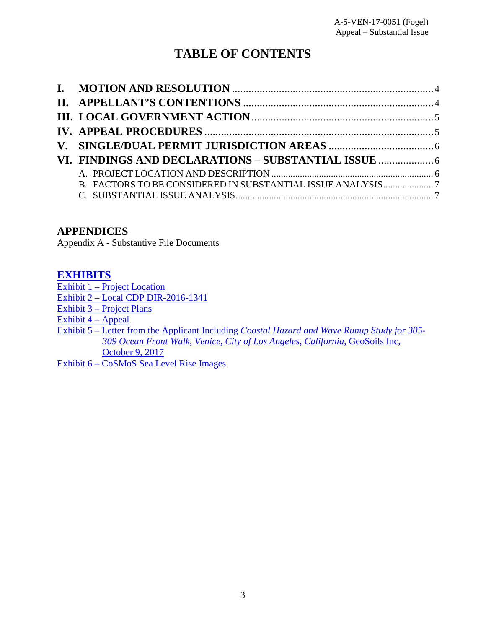# **TABLE OF CONTENTS**

| B. FACTORS TO BE CONSIDERED IN SUBSTANTIAL ISSUE ANALYSIS7 |  |
|------------------------------------------------------------|--|
|                                                            |  |

## **APPENDICES**

Appendix A - Substantive File Documents

## **[EXHIBITS](https://documents.coastal.ca.gov/reports/2017/11/Th25a/Th25a-11-2017-exhibits.pdf)**

[Exhibit 1 – Project Location](https://documents.coastal.ca.gov/reports/2017/11/Th25a/Th25a-11-2017-exhibits.pdf)

[Exhibit 2 – Local CDP DIR-2016-1341](https://documents.coastal.ca.gov/reports/2017/11/Th25a/Th25a-11-2017-exhibits.pdf) 

[Exhibit 3 – Project Plans](https://documents.coastal.ca.gov/reports/2017/11/Th25a/Th25a-11-2017-exhibits.pdf)

[Exhibit 4 – Appeal](https://documents.coastal.ca.gov/reports/2017/11/Th25a/Th25a-11-2017-exhibits.pdf) 

Exhibit 5 – Letter from the Applicant Including *[Coastal Hazard and Wave Runup Study for 305-](https://documents.coastal.ca.gov/reports/2017/11/Th25a/Th25a-11-2017-exhibits.pdf)   [309 Ocean Front Walk, Venice, City of Los Angeles, California](https://documents.coastal.ca.gov/reports/2017/11/Th25a/Th25a-11-2017-exhibits.pdf)*, GeoSoils Inc,  [October 9, 2017](https://documents.coastal.ca.gov/reports/2017/11/Th25a/Th25a-11-2017-exhibits.pdf) 

Exhibit 6 – CoSMoS [Sea Level Rise Images](https://documents.coastal.ca.gov/reports/2017/11/Th25a/Th25a-11-2017-exhibits.pdf)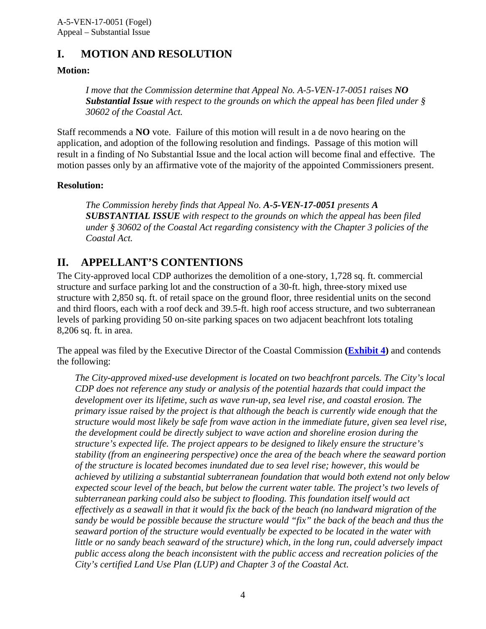# <span id="page-3-0"></span>**I. MOTION AND RESOLUTION**

#### **Motion:**

*I move that the Commission determine that Appeal No. A-5-VEN-17-0051 raises NO Substantial Issue with respect to the grounds on which the appeal has been filed under § 30602 of the Coastal Act.*

Staff recommends a **NO** vote. Failure of this motion will result in a de novo hearing on the application, and adoption of the following resolution and findings. Passage of this motion will result in a finding of No Substantial Issue and the local action will become final and effective. The motion passes only by an affirmative vote of the majority of the appointed Commissioners present.

#### **Resolution:**

*The Commission hereby finds that Appeal No. A-5-VEN-17-0051 presents A SUBSTANTIAL ISSUE with respect to the grounds on which the appeal has been filed under § 30602 of the Coastal Act regarding consistency with the Chapter 3 policies of the Coastal Act.*

# <span id="page-3-1"></span>**II. APPELLANT'S CONTENTIONS**

The City-approved local CDP authorizes the demolition of a one-story, 1,728 sq. ft. commercial structure and surface parking lot and the construction of a 30-ft. high, three-story mixed use structure with 2,850 sq. ft. of retail space on the ground floor, three residential units on the second and third floors, each with a roof deck and 39.5-ft. high roof access structure, and two subterranean levels of parking providing 50 on-site parking spaces on two adjacent beachfront lots totaling 8,206 sq. ft. in area.

The appeal was filed by the Executive Director of the Coastal Commission **[\(Exhibit 4\)](https://documents.coastal.ca.gov/reports/2017/11/Th25a/Th25a-11-2017-exhibits.pdf)** and contends the following:

*The City-approved mixed-use development is located on two beachfront parcels. The City's local CDP does not reference any study or analysis of the potential hazards that could impact the development over its lifetime, such as wave run-up, sea level rise, and coastal erosion. The primary issue raised by the project is that although the beach is currently wide enough that the structure would most likely be safe from wave action in the immediate future, given sea level rise, the development could be directly subject to wave action and shoreline erosion during the structure's expected life. The project appears to be designed to likely ensure the structure's stability (from an engineering perspective) once the area of the beach where the seaward portion of the structure is located becomes inundated due to sea level rise; however, this would be achieved by utilizing a substantial subterranean foundation that would both extend not only below expected scour level of the beach, but below the current water table. The project's two levels of subterranean parking could also be subject to flooding. This foundation itself would act effectively as a seawall in that it would fix the back of the beach (no landward migration of the sandy be would be possible because the structure would "fix" the back of the beach and thus the seaward portion of the structure would eventually be expected to be located in the water with little or no sandy beach seaward of the structure) which, in the long run, could adversely impact public access along the beach inconsistent with the public access and recreation policies of the City's certified Land Use Plan (LUP) and Chapter 3 of the Coastal Act.*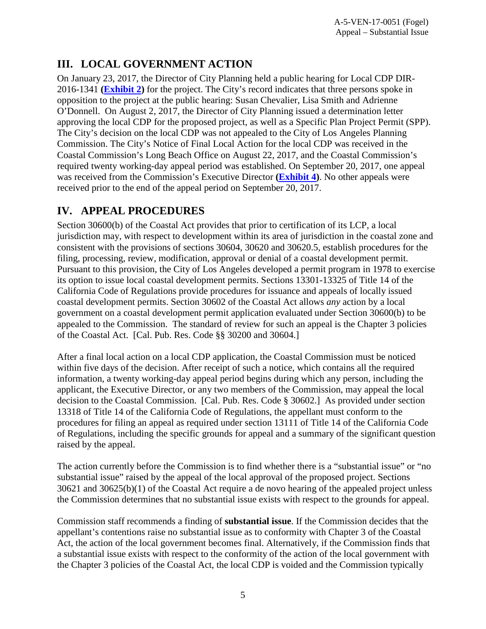# <span id="page-4-0"></span>**III. LOCAL GOVERNMENT ACTION**

On January 23, 2017, the Director of City Planning held a public hearing for Local CDP DIR-2016-1341 **[\(Exhibit 2\)](https://documents.coastal.ca.gov/reports/2017/11/Th25a/Th25a-11-2017-exhibits.pdf)** for the project. The City's record indicates that three persons spoke in opposition to the project at the public hearing: Susan Chevalier, Lisa Smith and Adrienne O'Donnell. On August 2, 2017, the Director of City Planning issued a determination letter approving the local CDP for the proposed project, as well as a Specific Plan Project Permit (SPP). The City's decision on the local CDP was not appealed to the City of Los Angeles Planning Commission. The City's Notice of Final Local Action for the local CDP was received in the Coastal Commission's Long Beach Office on August 22, 2017, and the Coastal Commission's required twenty working-day appeal period was established. On September 20, 2017, one appeal was received from the Commission's Executive Director **[\(Exhibit 4\)](https://documents.coastal.ca.gov/reports/2017/11/Th25a/Th25a-11-2017-exhibits.pdf)**. No other appeals were received prior to the end of the appeal period on September 20, 2017.

# <span id="page-4-1"></span>**IV. APPEAL PROCEDURES**

Section 30600(b) of the Coastal Act provides that prior to certification of its LCP, a local jurisdiction may, with respect to development within its area of jurisdiction in the coastal zone and consistent with the provisions of sections 30604, 30620 and 30620.5, establish procedures for the filing, processing, review, modification, approval or denial of a coastal development permit. Pursuant to this provision, the City of Los Angeles developed a permit program in 1978 to exercise its option to issue local coastal development permits. Sections 13301-13325 of Title 14 of the California Code of Regulations provide procedures for issuance and appeals of locally issued coastal development permits. Section 30602 of the Coastal Act allows *any* action by a local government on a coastal development permit application evaluated under Section 30600(b) to be appealed to the Commission. The standard of review for such an appeal is the Chapter 3 policies of the Coastal Act. [Cal. Pub. Res. Code §§ 30200 and 30604.]

After a final local action on a local CDP application, the Coastal Commission must be noticed within five days of the decision. After receipt of such a notice, which contains all the required information, a twenty working-day appeal period begins during which any person, including the applicant, the Executive Director, or any two members of the Commission, may appeal the local decision to the Coastal Commission. [Cal. Pub. Res. Code § 30602.] As provided under section 13318 of Title 14 of the California Code of Regulations, the appellant must conform to the procedures for filing an appeal as required under section 13111 of Title 14 of the California Code of Regulations, including the specific grounds for appeal and a summary of the significant question raised by the appeal.

The action currently before the Commission is to find whether there is a "substantial issue" or "no substantial issue" raised by the appeal of the local approval of the proposed project. Sections 30621 and 30625(b)(1) of the Coastal Act require a de novo hearing of the appealed project unless the Commission determines that no substantial issue exists with respect to the grounds for appeal.

Commission staff recommends a finding of **substantial issue**. If the Commission decides that the appellant's contentions raise no substantial issue as to conformity with Chapter 3 of the Coastal Act, the action of the local government becomes final. Alternatively, if the Commission finds that a substantial issue exists with respect to the conformity of the action of the local government with the Chapter 3 policies of the Coastal Act, the local CDP is voided and the Commission typically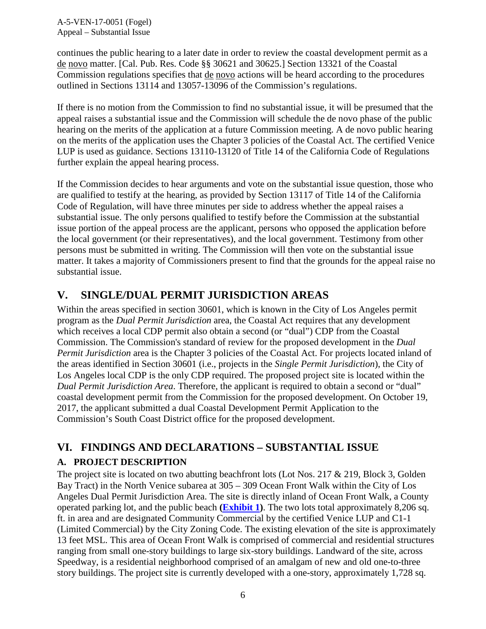A-5-VEN-17-0051 (Fogel) Appeal – Substantial Issue

continues the public hearing to a later date in order to review the coastal development permit as a de novo matter. [Cal. Pub. Res. Code §§ 30621 and 30625.] Section 13321 of the Coastal Commission regulations specifies that de novo actions will be heard according to the procedures outlined in Sections 13114 and 13057-13096 of the Commission's regulations.

If there is no motion from the Commission to find no substantial issue, it will be presumed that the appeal raises a substantial issue and the Commission will schedule the de novo phase of the public hearing on the merits of the application at a future Commission meeting. A de novo public hearing on the merits of the application uses the Chapter 3 policies of the Coastal Act. The certified Venice LUP is used as guidance. Sections 13110-13120 of Title 14 of the California Code of Regulations further explain the appeal hearing process.

If the Commission decides to hear arguments and vote on the substantial issue question, those who are qualified to testify at the hearing, as provided by Section 13117 of Title 14 of the California Code of Regulation, will have three minutes per side to address whether the appeal raises a substantial issue. The only persons qualified to testify before the Commission at the substantial issue portion of the appeal process are the applicant, persons who opposed the application before the local government (or their representatives), and the local government. Testimony from other persons must be submitted in writing. The Commission will then vote on the substantial issue matter. It takes a majority of Commissioners present to find that the grounds for the appeal raise no substantial issue.

# <span id="page-5-0"></span>**V. SINGLE/DUAL PERMIT JURISDICTION AREAS**

Within the areas specified in section 30601, which is known in the City of Los Angeles permit program as the *Dual Permit Jurisdiction* area, the Coastal Act requires that any development which receives a local CDP permit also obtain a second (or "dual") CDP from the Coastal Commission. The Commission's standard of review for the proposed development in the *Dual Permit Jurisdiction* area is the Chapter 3 policies of the Coastal Act. For projects located inland of the areas identified in Section 30601 (i.e., projects in the *Single Permit Jurisdiction*), the City of Los Angeles local CDP is the only CDP required. The proposed project site is located within the *Dual Permit Jurisdiction Area*. Therefore, the applicant is required to obtain a second or "dual" coastal development permit from the Commission for the proposed development. On October 19, 2017, the applicant submitted a dual Coastal Development Permit Application to the Commission's South Coast District office for the proposed development.

# <span id="page-5-1"></span>**VI. FINDINGS AND DECLARATIONS – SUBSTANTIAL ISSUE**

## <span id="page-5-2"></span>**A. PROJECT DESCRIPTION**

The project site is located on two abutting beachfront lots (Lot Nos. 217 & 219, Block 3, Golden Bay Tract) in the North Venice subarea at 305 – 309 Ocean Front Walk within the City of Los Angeles Dual Permit Jurisdiction Area. The site is directly inland of Ocean Front Walk, a County operated parking lot, and the public beach **[\(Exhibit 1\)](https://documents.coastal.ca.gov/reports/2017/11/Th25a/Th25a-11-2017-exhibits.pdf)**. The two lots total approximately 8,206 sq. ft. in area and are designated Community Commercial by the certified Venice LUP and C1-1 (Limited Commercial) by the City Zoning Code. The existing elevation of the site is approximately 13 feet MSL. This area of Ocean Front Walk is comprised of commercial and residential structures ranging from small one-story buildings to large six-story buildings. Landward of the site, across Speedway, is a residential neighborhood comprised of an amalgam of new and old one-to-three story buildings. The project site is currently developed with a one-story, approximately 1,728 sq.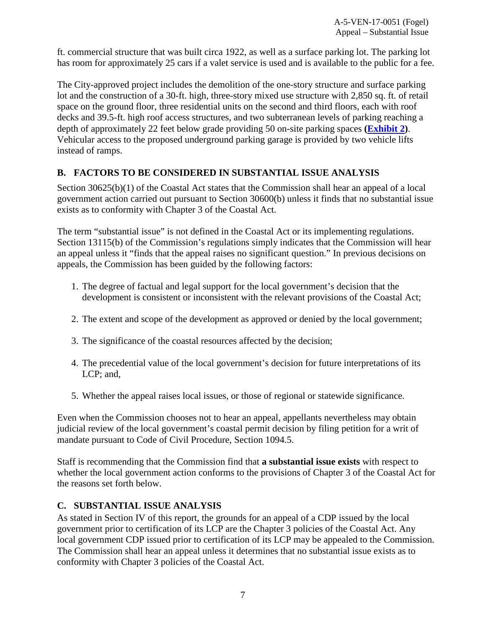ft. commercial structure that was built circa 1922, as well as a surface parking lot. The parking lot has room for approximately 25 cars if a valet service is used and is available to the public for a fee.

The City-approved project includes the demolition of the one-story structure and surface parking lot and the construction of a 30-ft. high, three-story mixed use structure with 2,850 sq. ft. of retail space on the ground floor, three residential units on the second and third floors, each with roof decks and 39.5-ft. high roof access structures, and two subterranean levels of parking reaching a depth of approximately 22 feet below grade providing 50 on-site parking spaces **[\(Exhibit 2\)](https://documents.coastal.ca.gov/reports/2017/11/Th25a/Th25a-11-2017-exhibits.pdf)**. Vehicular access to the proposed underground parking garage is provided by two vehicle lifts instead of ramps.

## <span id="page-6-0"></span>**B. FACTORS TO BE CONSIDERED IN SUBSTANTIAL ISSUE ANALYSIS**

Section 30625(b)(1) of the Coastal Act states that the Commission shall hear an appeal of a local government action carried out pursuant to Section 30600(b) unless it finds that no substantial issue exists as to conformity with Chapter 3 of the Coastal Act.

The term "substantial issue" is not defined in the Coastal Act or its implementing regulations. Section 13115(b) of the Commission's regulations simply indicates that the Commission will hear an appeal unless it "finds that the appeal raises no significant question." In previous decisions on appeals, the Commission has been guided by the following factors:

- 1. The degree of factual and legal support for the local government's decision that the development is consistent or inconsistent with the relevant provisions of the Coastal Act;
- 2. The extent and scope of the development as approved or denied by the local government;
- 3. The significance of the coastal resources affected by the decision;
- 4. The precedential value of the local government's decision for future interpretations of its LCP; and,
- 5. Whether the appeal raises local issues, or those of regional or statewide significance.

Even when the Commission chooses not to hear an appeal, appellants nevertheless may obtain judicial review of the local government's coastal permit decision by filing petition for a writ of mandate pursuant to Code of Civil Procedure, Section 1094.5.

Staff is recommending that the Commission find that **a substantial issue exists** with respect to whether the local government action conforms to the provisions of Chapter 3 of the Coastal Act for the reasons set forth below.

## <span id="page-6-1"></span>**C. SUBSTANTIAL ISSUE ANALYSIS**

As stated in Section IV of this report, the grounds for an appeal of a CDP issued by the local government prior to certification of its LCP are the Chapter 3 policies of the Coastal Act. Any local government CDP issued prior to certification of its LCP may be appealed to the Commission. The Commission shall hear an appeal unless it determines that no substantial issue exists as to conformity with Chapter 3 policies of the Coastal Act.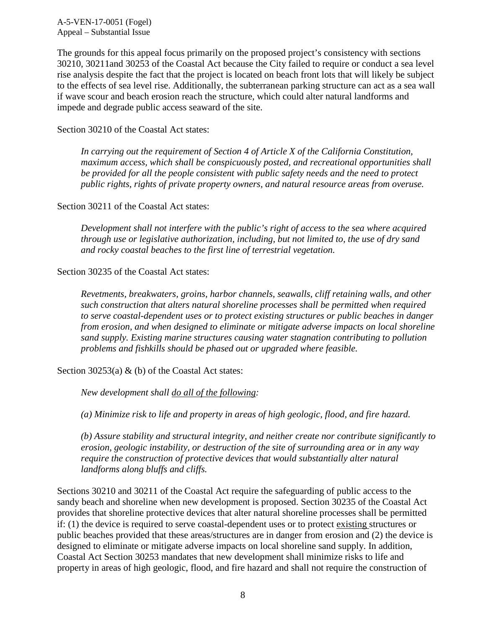A-5-VEN-17-0051 (Fogel) Appeal – Substantial Issue

The grounds for this appeal focus primarily on the proposed project's consistency with sections 30210, 30211and 30253 of the Coastal Act because the City failed to require or conduct a sea level rise analysis despite the fact that the project is located on beach front lots that will likely be subject to the effects of sea level rise. Additionally, the subterranean parking structure can act as a sea wall if wave scour and beach erosion reach the structure, which could alter natural landforms and impede and degrade public access seaward of the site.

Section 30210 of the Coastal Act states:

 *In carrying out the requirement of Section 4 of Article X of the California Constitution, maximum access, which shall be conspicuously posted, and recreational opportunities shall be provided for all the people consistent with public safety needs and the need to protect public rights, rights of private property owners, and natural resource areas from overuse.* 

Section 30211 of the Coastal Act states:

*Development shall not interfere with the public's right of access to the sea where acquired through use or legislative authorization, including, but not limited to, the use of dry sand and rocky coastal beaches to the first line of terrestrial vegetation.* 

Section 30235 of the Coastal Act states:

*Revetments, breakwaters, groins, harbor channels, seawalls, cliff retaining walls, and other such construction that alters natural shoreline processes shall be permitted when required to serve coastal-dependent uses or to protect existing structures or public beaches in danger from erosion, and when designed to eliminate or mitigate adverse impacts on local shoreline sand supply. Existing marine structures causing water stagnation contributing to pollution problems and fishkills should be phased out or upgraded where feasible.* 

Section 30253(a) & (b) of the Coastal Act states:

*New development shall do all of the following:* 

*(a) Minimize risk to life and property in areas of high geologic, flood, and fire hazard.* 

*(b) Assure stability and structural integrity, and neither create nor contribute significantly to erosion, geologic instability, or destruction of the site of surrounding area or in any way require the construction of protective devices that would substantially alter natural landforms along bluffs and cliffs.*

Sections 30210 and 30211 of the Coastal Act require the safeguarding of public access to the sandy beach and shoreline when new development is proposed. Section 30235 of the Coastal Act provides that shoreline protective devices that alter natural shoreline processes shall be permitted if: (1) the device is required to serve coastal-dependent uses or to protect existing structures or public beaches provided that these areas/structures are in danger from erosion and (2) the device is designed to eliminate or mitigate adverse impacts on local shoreline sand supply. In addition, Coastal Act Section 30253 mandates that new development shall minimize risks to life and property in areas of high geologic, flood, and fire hazard and shall not require the construction of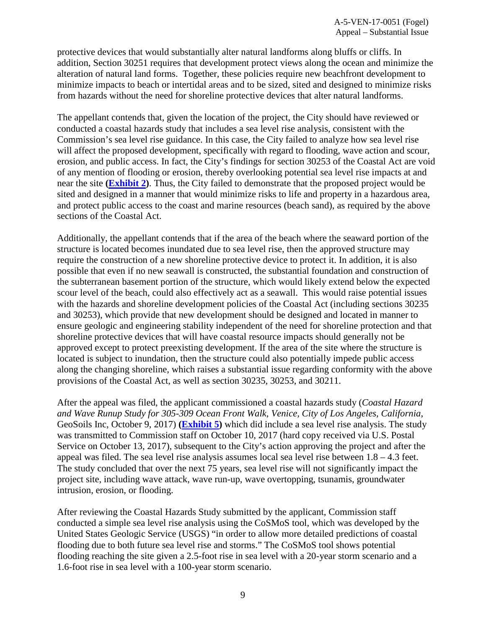protective devices that would substantially alter natural landforms along bluffs or cliffs. In addition, Section 30251 requires that development protect views along the ocean and minimize the alteration of natural land forms. Together, these policies require new beachfront development to minimize impacts to beach or intertidal areas and to be sized, sited and designed to minimize risks from hazards without the need for shoreline protective devices that alter natural landforms.

The appellant contends that, given the location of the project, the City should have reviewed or conducted a coastal hazards study that includes a sea level rise analysis, consistent with the Commission's sea level rise guidance. In this case, the City failed to analyze how sea level rise will affect the proposed development, specifically with regard to flooding, wave action and scour, erosion, and public access. In fact, the City's findings for section 30253 of the Coastal Act are void of any mention of flooding or erosion, thereby overlooking potential sea level rise impacts at and near the site **[\(Exhibit 2\)](https://documents.coastal.ca.gov/reports/2017/11/Th25a/Th25a-11-2017-exhibits.pdf)**. Thus, the City failed to demonstrate that the proposed project would be sited and designed in a manner that would minimize risks to life and property in a hazardous area, and protect public access to the coast and marine resources (beach sand), as required by the above sections of the Coastal Act.

Additionally, the appellant contends that if the area of the beach where the seaward portion of the structure is located becomes inundated due to sea level rise, then the approved structure may require the construction of a new shoreline protective device to protect it. In addition, it is also possible that even if no new seawall is constructed, the substantial foundation and construction of the subterranean basement portion of the structure, which would likely extend below the expected scour level of the beach, could also effectively act as a seawall. This would raise potential issues with the hazards and shoreline development policies of the Coastal Act (including sections 30235 and 30253), which provide that new development should be designed and located in manner to ensure geologic and engineering stability independent of the need for shoreline protection and that shoreline protective devices that will have coastal resource impacts should generally not be approved except to protect preexisting development. If the area of the site where the structure is located is subject to inundation, then the structure could also potentially impede public access along the changing shoreline, which raises a substantial issue regarding conformity with the above provisions of the Coastal Act, as well as section 30235, 30253, and 30211.

After the appeal was filed, the applicant commissioned a coastal hazards study (*Coastal Hazard and Wave Runup Study for 305-309 Ocean Front Walk, Venice, City of Los Angeles, California*, GeoSoils Inc, October 9, 2017) **[\(Exhibit 5\)](https://documents.coastal.ca.gov/reports/2017/11/Th25a/Th25a-11-2017-exhibits.pdf)** which did include a sea level rise analysis. The study was transmitted to Commission staff on October 10, 2017 (hard copy received via U.S. Postal Service on October 13, 2017), subsequent to the City's action approving the project and after the appeal was filed. The sea level rise analysis assumes local sea level rise between 1.8 – 4.3 feet. The study concluded that over the next 75 years, sea level rise will not significantly impact the project site, including wave attack, wave run-up, wave overtopping, tsunamis, groundwater intrusion, erosion, or flooding.

After reviewing the Coastal Hazards Study submitted by the applicant, Commission staff conducted a simple sea level rise analysis using the CoSMoS tool, which was developed by the United States Geologic Service (USGS) "in order to allow more detailed predictions of coastal flooding due to both future sea level rise and storms." The CoSMoS tool shows potential flooding reaching the site given a 2.5-foot rise in sea level with a 20-year storm scenario and a 1.6-foot rise in sea level with a 100-year storm scenario.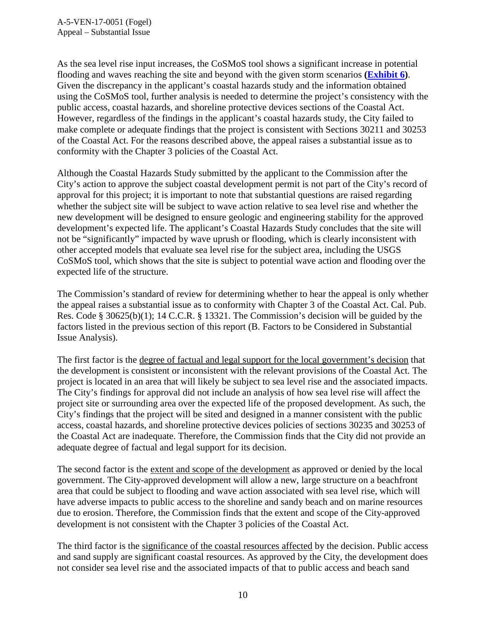As the sea level rise input increases, the CoSMoS tool shows a significant increase in potential flooding and waves reaching the site and beyond with the given storm scenarios **[\(Exhibit 6\)](https://documents.coastal.ca.gov/reports/2017/11/Th25a/Th25a-11-2017-exhibits.pdf)**. Given the discrepancy in the applicant's coastal hazards study and the information obtained using the CoSMoS tool, further analysis is needed to determine the project's consistency with the public access, coastal hazards, and shoreline protective devices sections of the Coastal Act. However, regardless of the findings in the applicant's coastal hazards study, the City failed to make complete or adequate findings that the project is consistent with Sections 30211 and 30253 of the Coastal Act. For the reasons described above, the appeal raises a substantial issue as to conformity with the Chapter 3 policies of the Coastal Act.

Although the Coastal Hazards Study submitted by the applicant to the Commission after the City's action to approve the subject coastal development permit is not part of the City's record of approval for this project; it is important to note that substantial questions are raised regarding whether the subject site will be subject to wave action relative to sea level rise and whether the new development will be designed to ensure geologic and engineering stability for the approved development's expected life. The applicant's Coastal Hazards Study concludes that the site will not be "significantly" impacted by wave uprush or flooding, which is clearly inconsistent with other accepted models that evaluate sea level rise for the subject area, including the USGS CoSMoS tool, which shows that the site is subject to potential wave action and flooding over the expected life of the structure.

The Commission's standard of review for determining whether to hear the appeal is only whether the appeal raises a substantial issue as to conformity with Chapter 3 of the Coastal Act. Cal. Pub. Res. Code § 30625(b)(1); 14 C.C.R. § 13321. The Commission's decision will be guided by the factors listed in the previous section of this report (B. Factors to be Considered in Substantial Issue Analysis).

The first factor is the degree of factual and legal support for the local government's decision that the development is consistent or inconsistent with the relevant provisions of the Coastal Act. The project is located in an area that will likely be subject to sea level rise and the associated impacts. The City's findings for approval did not include an analysis of how sea level rise will affect the project site or surrounding area over the expected life of the proposed development. As such, the City's findings that the project will be sited and designed in a manner consistent with the public access, coastal hazards, and shoreline protective devices policies of sections 30235 and 30253 of the Coastal Act are inadequate. Therefore, the Commission finds that the City did not provide an adequate degree of factual and legal support for its decision.

The second factor is the extent and scope of the development as approved or denied by the local government. The City-approved development will allow a new, large structure on a beachfront area that could be subject to flooding and wave action associated with sea level rise, which will have adverse impacts to public access to the shoreline and sandy beach and on marine resources due to erosion. Therefore, the Commission finds that the extent and scope of the City-approved development is not consistent with the Chapter 3 policies of the Coastal Act.

The third factor is the significance of the coastal resources affected by the decision. Public access and sand supply are significant coastal resources. As approved by the City, the development does not consider sea level rise and the associated impacts of that to public access and beach sand